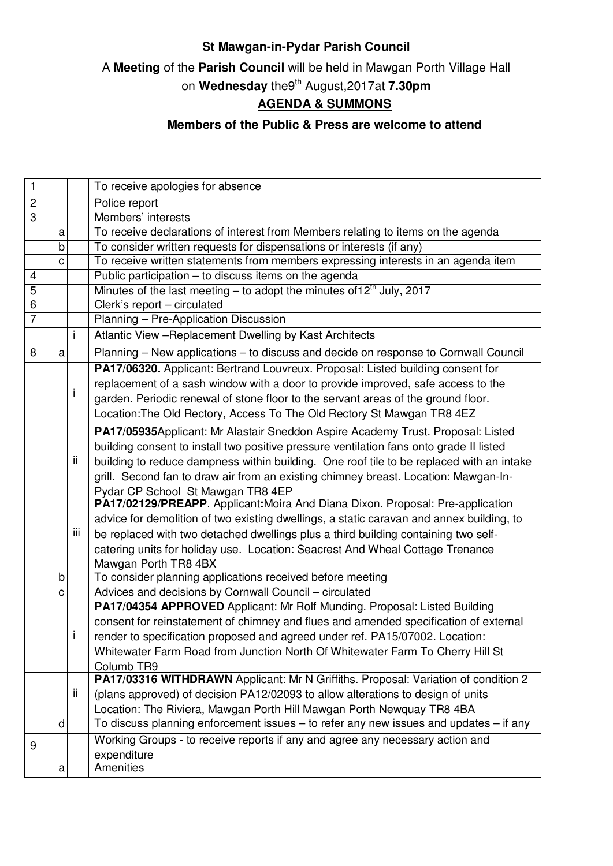## **St Mawgan-in-Pydar Parish Council**

A **Meeting** of the **Parish Council** will be held in Mawgan Porth Village Hall

on **Wednesday** the9th August,2017at **7.30pm**

## **AGENDA & SUMMONS**

## **Members of the Public & Press are welcome to attend**

| $\mathbf{1}$    |   |     | To receive apologies for absence                                                         |
|-----------------|---|-----|------------------------------------------------------------------------------------------|
| $\overline{c}$  |   |     | Police report                                                                            |
| 3               |   |     | Members' interests                                                                       |
|                 | a |     | To receive declarations of interest from Members relating to items on the agenda         |
|                 | b |     | To consider written requests for dispensations or interests (if any)                     |
|                 | C |     | To receive written statements from members expressing interests in an agenda item        |
| $\overline{4}$  |   |     | Public participation - to discuss items on the agenda                                    |
| 5               |   |     | Minutes of the last meeting – to adopt the minutes of 12 <sup>th</sup> July, 2017        |
| $6\phantom{1}6$ |   |     | Clerk's report - circulated                                                              |
| $\overline{7}$  |   |     | Planning - Pre-Application Discussion                                                    |
|                 |   | i   | Atlantic View - Replacement Dwelling by Kast Architects                                  |
| 8               | a |     | Planning - New applications - to discuss and decide on response to Cornwall Council      |
|                 |   |     | PA17/06320. Applicant: Bertrand Louvreux. Proposal: Listed building consent for          |
|                 |   |     | replacement of a sash window with a door to provide improved, safe access to the         |
|                 |   | i   | garden. Periodic renewal of stone floor to the servant areas of the ground floor.        |
|                 |   |     | Location: The Old Rectory, Access To The Old Rectory St Mawgan TR8 4EZ                   |
|                 |   |     | PA17/05935Applicant: Mr Alastair Sneddon Aspire Academy Trust. Proposal: Listed          |
|                 |   |     | building consent to install two positive pressure ventilation fans onto grade II listed  |
|                 |   | ij. | building to reduce dampness within building. One roof tile to be replaced with an intake |
|                 |   |     | grill. Second fan to draw air from an existing chimney breast. Location: Mawgan-In-      |
|                 |   |     | Pydar CP School St Mawgan TR8 4EP                                                        |
|                 |   |     | PA17/02129/PREAPP. Applicant: Moira And Diana Dixon. Proposal: Pre-application           |
|                 |   |     | advice for demolition of two existing dwellings, a static caravan and annex building, to |
|                 |   | iii | be replaced with two detached dwellings plus a third building containing two self-       |
|                 |   |     | catering units for holiday use. Location: Seacrest And Wheal Cottage Trenance            |
|                 |   |     | Mawgan Porth TR8 4BX                                                                     |
|                 | b |     | To consider planning applications received before meeting                                |
|                 | C |     | Advices and decisions by Cornwall Council - circulated                                   |
|                 |   |     | PA17/04354 APPROVED Applicant: Mr Rolf Munding. Proposal: Listed Building                |
|                 |   |     | consent for reinstatement of chimney and flues and amended specification of external     |
|                 |   | Ť   | render to specification proposed and agreed under ref. PA15/07002. Location:             |
|                 |   |     | Whitewater Farm Road from Junction North Of Whitewater Farm To Cherry Hill St            |
|                 |   |     | Columb TR9                                                                               |
|                 |   |     | PA17/03316 WITHDRAWN Applicant: Mr N Griffiths. Proposal: Variation of condition 2       |
|                 |   | ij. | (plans approved) of decision PA12/02093 to allow alterations to design of units          |
|                 |   |     | Location: The Riviera, Mawgan Porth Hill Mawgan Porth Newquay TR8 4BA                    |
|                 | d |     | To discuss planning enforcement issues - to refer any new issues and updates - if any    |
| 9               |   |     | Working Groups - to receive reports if any and agree any necessary action and            |
|                 |   |     | expenditure                                                                              |
|                 | a |     | Amenities                                                                                |